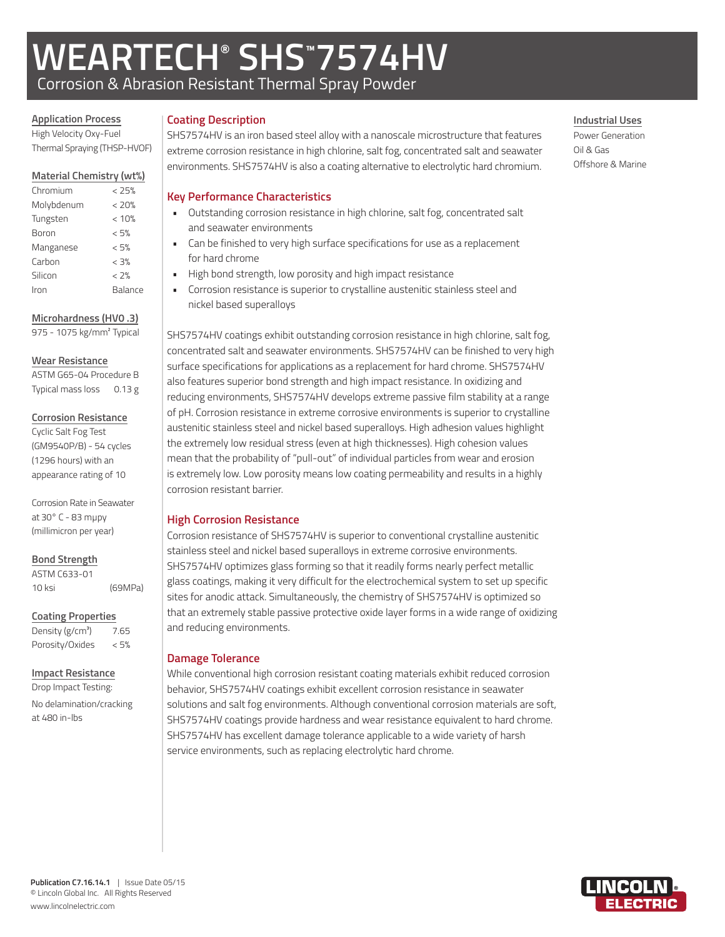# **WEARTECH® SHS™ 7574HV** Corrosion & Abrasion Resistant Thermal Spray Powder

**Application Process**

#### High Velocity Oxy-Fuel Thermal Spraying (THSP-HVOF)

#### **Material Chemistry (wt%)**

| Chromium   | < 25%   |
|------------|---------|
| Molybdenum | < 20%   |
| Tungsten   | < 10%   |
| Boron      | < 5%    |
| Manganese  | < 5%    |
| Carbon     | < 3%    |
| Silicon    | < 2%    |
| Iron       | Balance |
|            |         |

#### **Microhardness (HV0 .3)**

975 - 1075 kg/mm² Typical

#### **Wear Resistance**

ASTM G65-04 Procedure B Typical mass loss 0.13 g

#### **Corrosion Resistance**

Cyclic Salt Fog Test (GM9540P/B) - 54 cycles (1296 hours) with an appearance rating of 10

Corrosion Rate in Seawater at 30° C - 83 mµpy (millimicron per year)

## **Bond Strength**

ASTM C633-01 10 ksi (69MPa)

#### **Coating Properties**

Density  $(g/cm<sup>3</sup>)$  7.65 Porosity/Oxides < 5%

## **Impact Resistance**

Drop Impact Testing: No delamination/cracking at 480 in-lbs

### **Coating Description**

SHS7574HV is an iron based steel alloy with a nanoscale microstructure that features extreme corrosion resistance in high chlorine, salt fog, concentrated salt and seawater environments. SHS7574HV is also a coating alternative to electrolytic hard chromium.

# **Key Performance Characteristics**

- Outstanding corrosion resistance in high chlorine, salt fog, concentrated salt and seawater environments
- Can be finished to very high surface specifications for use as a replacement for hard chrome
- High bond strength, low porosity and high impact resistance
- Corrosion resistance is superior to crystalline austenitic stainless steel and nickel based superalloys

SHS7574HV coatings exhibit outstanding corrosion resistance in high chlorine, salt fog, concentrated salt and seawater environments. SHS7574HV can be finished to very high surface specifications for applications as a replacement for hard chrome. SHS7574HV also features superior bond strength and high impact resistance. In oxidizing and reducing environments, SHS7574HV develops extreme passive film stability at a range of pH. Corrosion resistance in extreme corrosive environments is superior to crystalline austenitic stainless steel and nickel based superalloys. High adhesion values highlight the extremely low residual stress (even at high thicknesses). High cohesion values mean that the probability of "pull-out" of individual particles from wear and erosion is extremely low. Low porosity means low coating permeability and results in a highly corrosion resistant barrier.

# **High Corrosion Resistance**

Corrosion resistance of SHS7574HV is superior to conventional crystalline austenitic stainless steel and nickel based superalloys in extreme corrosive environments. SHS7574HV optimizes glass forming so that it readily forms nearly perfect metallic glass coatings, making it very difficult for the electrochemical system to set up specific sites for anodic attack. Simultaneously, the chemistry of SHS7574HV is optimized so that an extremely stable passive protective oxide layer forms in a wide range of oxidizing and reducing environments.

# **Damage Tolerance**

While conventional high corrosion resistant coating materials exhibit reduced corrosion behavior, SHS7574HV coatings exhibit excellent corrosion resistance in seawater solutions and salt fog environments. Although conventional corrosion materials are soft, SHS7574HV coatings provide hardness and wear resistance equivalent to hard chrome. SHS7574HV has excellent damage tolerance applicable to a wide variety of harsh service environments, such as replacing electrolytic hard chrome.

# **Industrial Uses**

Power Generation Oil & Gas Offshore & Marine